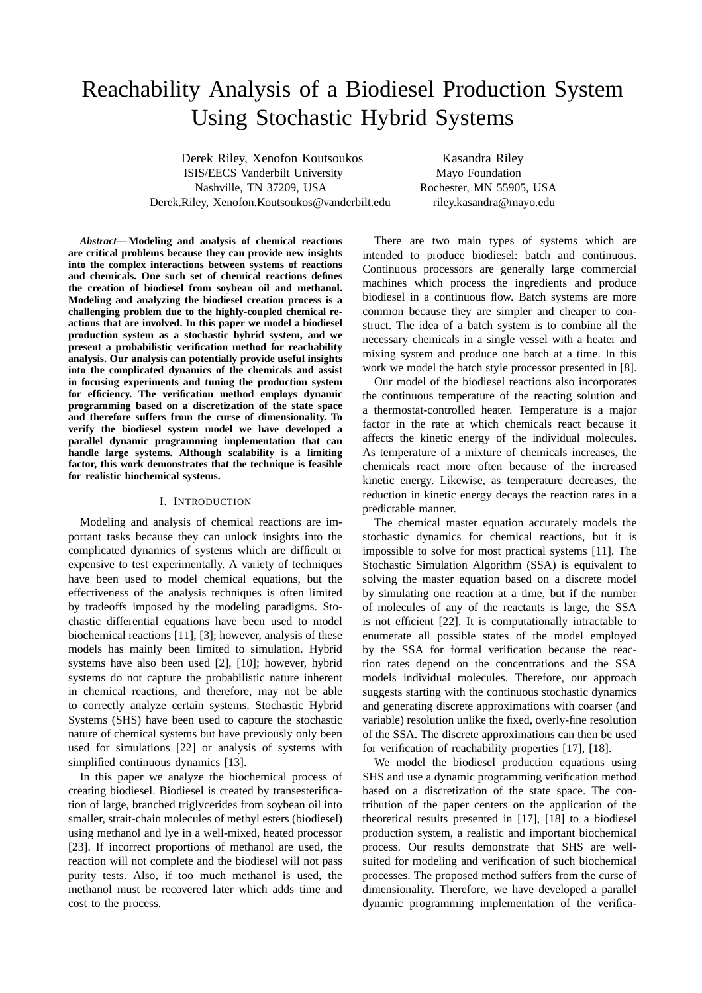# Reachability Analysis of a Biodiesel Production System Using Stochastic Hybrid Systems

Derek Riley, Xenofon Koutsoukos Kasandra Riley ISIS/EECS Vanderbilt University Mayo Foundation Nashville, TN 37209, USA Rochester, MN 55905, USA Derek.Riley, Xenofon.Koutsoukos@vanderbilt.edu riley.kasandra@mayo.edu

*Abstract***— Modeling and analysis of chemical reactions are critical problems because they can provide new insights into the complex interactions between systems of reactions and chemicals. One such set of chemical reactions defines the creation of biodiesel from soybean oil and methanol. Modeling and analyzing the biodiesel creation process is a challenging problem due to the highly-coupled chemical reactions that are involved. In this paper we model a biodiesel production system as a stochastic hybrid system, and we present a probabilistic verification method for reachability analysis. Our analysis can potentially provide useful insights into the complicated dynamics of the chemicals and assist in focusing experiments and tuning the production system for efficiency. The verification method employs dynamic programming based on a discretization of the state space and therefore suffers from the curse of dimensionality. To verify the biodiesel system model we have developed a parallel dynamic programming implementation that can handle large systems. Although scalability is a limiting factor, this work demonstrates that the technique is feasible for realistic biochemical systems.**

#### I. INTRODUCTION

Modeling and analysis of chemical reactions are important tasks because they can unlock insights into the complicated dynamics of systems which are difficult or expensive to test experimentally. A variety of techniques have been used to model chemical equations, but the effectiveness of the analysis techniques is often limited by tradeoffs imposed by the modeling paradigms. Stochastic differential equations have been used to model biochemical reactions [11], [3]; however, analysis of these models has mainly been limited to simulation. Hybrid systems have also been used [2], [10]; however, hybrid systems do not capture the probabilistic nature inherent in chemical reactions, and therefore, may not be able to correctly analyze certain systems. Stochastic Hybrid Systems (SHS) have been used to capture the stochastic nature of chemical systems but have previously only been used for simulations [22] or analysis of systems with simplified continuous dynamics [13].

In this paper we analyze the biochemical process of creating biodiesel. Biodiesel is created by transesterification of large, branched triglycerides from soybean oil into smaller, strait-chain molecules of methyl esters (biodiesel) using methanol and lye in a well-mixed, heated processor [23]. If incorrect proportions of methanol are used, the reaction will not complete and the biodiesel will not pass purity tests. Also, if too much methanol is used, the methanol must be recovered later which adds time and cost to the process.

There are two main types of systems which are intended to produce biodiesel: batch and continuous. Continuous processors are generally large commercial machines which process the ingredients and produce biodiesel in a continuous flow. Batch systems are more common because they are simpler and cheaper to construct. The idea of a batch system is to combine all the necessary chemicals in a single vessel with a heater and mixing system and produce one batch at a time. In this work we model the batch style processor presented in [8].

Our model of the biodiesel reactions also incorporates the continuous temperature of the reacting solution and a thermostat-controlled heater. Temperature is a major factor in the rate at which chemicals react because it affects the kinetic energy of the individual molecules. As temperature of a mixture of chemicals increases, the chemicals react more often because of the increased kinetic energy. Likewise, as temperature decreases, the reduction in kinetic energy decays the reaction rates in a predictable manner.

The chemical master equation accurately models the stochastic dynamics for chemical reactions, but it is impossible to solve for most practical systems [11]. The Stochastic Simulation Algorithm (SSA) is equivalent to solving the master equation based on a discrete model by simulating one reaction at a time, but if the number of molecules of any of the reactants is large, the SSA is not efficient [22]. It is computationally intractable to enumerate all possible states of the model employed by the SSA for formal verification because the reaction rates depend on the concentrations and the SSA models individual molecules. Therefore, our approach suggests starting with the continuous stochastic dynamics and generating discrete approximations with coarser (and variable) resolution unlike the fixed, overly-fine resolution of the SSA. The discrete approximations can then be used for verification of reachability properties [17], [18].

We model the biodiesel production equations using SHS and use a dynamic programming verification method based on a discretization of the state space. The contribution of the paper centers on the application of the theoretical results presented in [17], [18] to a biodiesel production system, a realistic and important biochemical process. Our results demonstrate that SHS are wellsuited for modeling and verification of such biochemical processes. The proposed method suffers from the curse of dimensionality. Therefore, we have developed a parallel dynamic programming implementation of the verifica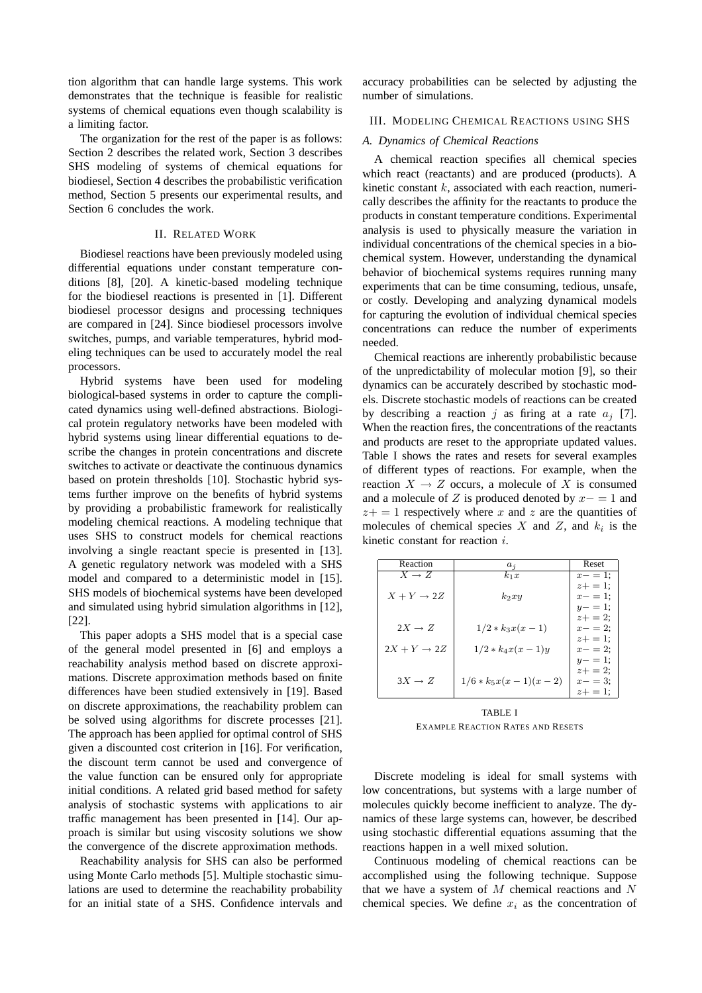tion algorithm that can handle large systems. This work demonstrates that the technique is feasible for realistic systems of chemical equations even though scalability is a limiting factor.

The organization for the rest of the paper is as follows: Section 2 describes the related work, Section 3 describes SHS modeling of systems of chemical equations for biodiesel, Section 4 describes the probabilistic verification method, Section 5 presents our experimental results, and Section 6 concludes the work.

## II. RELATED WORK

Biodiesel reactions have been previously modeled using differential equations under constant temperature conditions [8], [20]. A kinetic-based modeling technique for the biodiesel reactions is presented in [1]. Different biodiesel processor designs and processing techniques are compared in [24]. Since biodiesel processors involve switches, pumps, and variable temperatures, hybrid modeling techniques can be used to accurately model the real processors.

Hybrid systems have been used for modeling biological-based systems in order to capture the complicated dynamics using well-defined abstractions. Biological protein regulatory networks have been modeled with hybrid systems using linear differential equations to describe the changes in protein concentrations and discrete switches to activate or deactivate the continuous dynamics based on protein thresholds [10]. Stochastic hybrid systems further improve on the benefits of hybrid systems by providing a probabilistic framework for realistically modeling chemical reactions. A modeling technique that uses SHS to construct models for chemical reactions involving a single reactant specie is presented in [13]. A genetic regulatory network was modeled with a SHS model and compared to a deterministic model in [15]. SHS models of biochemical systems have been developed and simulated using hybrid simulation algorithms in [12], [22].

This paper adopts a SHS model that is a special case of the general model presented in [6] and employs a reachability analysis method based on discrete approximations. Discrete approximation methods based on finite differences have been studied extensively in [19]. Based on discrete approximations, the reachability problem can be solved using algorithms for discrete processes [21]. The approach has been applied for optimal control of SHS given a discounted cost criterion in [16]. For verification, the discount term cannot be used and convergence of the value function can be ensured only for appropriate initial conditions. A related grid based method for safety analysis of stochastic systems with applications to air traffic management has been presented in [14]. Our approach is similar but using viscosity solutions we show the convergence of the discrete approximation methods.

Reachability analysis for SHS can also be performed using Monte Carlo methods [5]. Multiple stochastic simulations are used to determine the reachability probability for an initial state of a SHS. Confidence intervals and accuracy probabilities can be selected by adjusting the number of simulations.

#### III. MODELING CHEMICAL REACTIONS USING SHS

## *A. Dynamics of Chemical Reactions*

A chemical reaction specifies all chemical species which react (reactants) and are produced (products). A kinetic constant  $k$ , associated with each reaction, numerically describes the affinity for the reactants to produce the products in constant temperature conditions. Experimental analysis is used to physically measure the variation in individual concentrations of the chemical species in a biochemical system. However, understanding the dynamical behavior of biochemical systems requires running many experiments that can be time consuming, tedious, unsafe, or costly. Developing and analyzing dynamical models for capturing the evolution of individual chemical species concentrations can reduce the number of experiments needed.

Chemical reactions are inherently probabilistic because of the unpredictability of molecular motion [9], so their dynamics can be accurately described by stochastic models. Discrete stochastic models of reactions can be created by describing a reaction j as firing at a rate  $a_i$  [7]. When the reaction fires, the concentrations of the reactants and products are reset to the appropriate updated values. Table I shows the rates and resets for several examples of different types of reactions. For example, when the reaction  $X \to Z$  occurs, a molecule of X is consumed and a molecule of Z is produced denoted by  $x- = 1$  and  $z+=1$  respectively where x and z are the quantities of molecules of chemical species X and Z, and  $k_i$  is the kinetic constant for reaction  $i$ .

| Reaction                | $a_i$                  | Reset       |
|-------------------------|------------------------|-------------|
| $X \rightarrow Z$       | $k_1x$                 | $x - = 1$ : |
|                         |                        | $z + = 1$ : |
| $X + Y \rightarrow 2Z$  | $k_2xy$                | $x - = 1$ : |
|                         |                        | $y - = 1$ ; |
|                         |                        | $z + = 2$ : |
| $2X \rightarrow Z$      | $1/2 * k_3x(x-1)$      | $x - = 2$ : |
|                         |                        | $z+ = 1$ :  |
| $2X + Y \rightarrow 2Z$ | $1/2 * k_4x(x-1)y$     | $x - = 2$ : |
|                         |                        | $y - = 1$ ; |
|                         |                        | $z + = 2$ ; |
| $3X \rightarrow Z$      | $1/6 * k_5x(x-1)(x-2)$ | $x - = 3$ : |
|                         |                        | $z_+ = 1$ : |

TABLE I EXAMPLE REACTION RATES AND RESETS

Discrete modeling is ideal for small systems with low concentrations, but systems with a large number of molecules quickly become inefficient to analyze. The dynamics of these large systems can, however, be described using stochastic differential equations assuming that the reactions happen in a well mixed solution.

Continuous modeling of chemical reactions can be accomplished using the following technique. Suppose that we have a system of  $M$  chemical reactions and  $N$ chemical species. We define  $x_i$  as the concentration of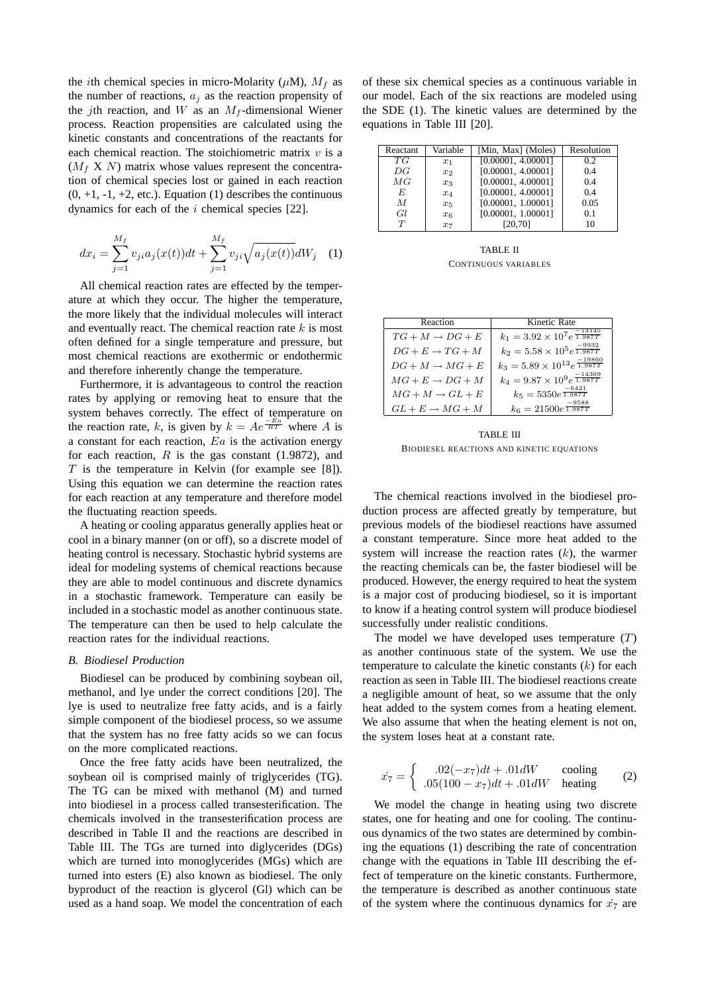the *i*th chemical species in micro-Molarity ( $\mu$ M),  $M_f$  as the number of reactions,  $a_j$  as the reaction propensity of the jth reaction, and W as an  $M_f$ -dimensional Wiener process. Reaction propensities are calculated using the kinetic constants and concentrations of the reactants for each chemical reaction. The stoichiometric matrix  $v$  is a  $(M_f X N)$  matrix whose values represent the concentration of chemical species lost or gained in each reaction  $(0, +1, -1, +2,$  etc.). Equation  $(1)$  describes the continuous dynamics for each of the  $i$  chemical species [22].

$$
dx_i = \sum_{j=1}^{M_f} v_{ji} a_j(x(t))dt + \sum_{j=1}^{M_f} v_{ji} \sqrt{a_j(x(t))}dW_j \quad (1)
$$

All chemical reaction rates are effected by the temperature at which they occur. The higher the temperature, the more likely that the individual molecules will interact and eventually react. The chemical reaction rate  $k$  is most often defined for a single temperature and pressure, but most chemical reactions are exothermic or endothermic and therefore inherently change the temperature.

Furthermore, it is advantageous to control the reaction rates by applying or removing heat to ensure that the system behaves correctly. The effect of temperature on the reaction rate, k, is given by  $k = Ae^{\frac{-Ea}{RT}}$  where A is a constant for each reaction,  $E_a$  is the activation energy for each reaction,  $R$  is the gas constant (1.9872), and  $T$  is the temperature in Kelvin (for example see [8]). Using this equation we can determine the reaction rates for each reaction at any temperature and therefore model the fluctuating reaction speeds.

A heating or cooling apparatus generally applies heat or cool in a binary manner (on or off), so a discrete model of heating control is necessary. Stochastic hybrid systems are ideal for modeling systems of chemical reactions because they are able to model continuous and discrete dynamics in a stochastic framework. Temperature can easily be included in a stochastic model as another continuous state. The temperature can then be used to help calculate the reaction rates for the individual reactions.

## *B. Biodiesel Production*

Biodiesel can be produced by combining soybean oil, methanol, and lye under the correct conditions [20]. The lye is used to neutralize free fatty acids, and is a fairly simple component of the biodiesel process, so we assume that the system has no free fatty acids so we can focus on the more complicated reactions.

Once the free fatty acids have been neutralized, the soybean oil is comprised mainly of triglycerides (TG). The TG can be mixed with methanol (M) and turned into biodiesel in a process called transesterification. The chemicals involved in the transesterification process are described in Table II and the reactions are described in Table III. The TGs are turned into diglycerides (DGs) which are turned into monoglycerides (MGs) which are turned into esters (E) also known as biodiesel. The only byproduct of the reaction is glycerol (Gl) which can be used as a hand soap. We model the concentration of each

of these six chemical species as a continuous variable in our model. Each of the six reactions are modeled using the SDE (1). The kinetic values are determined by the equations in Table III [20].

| Reactant | Variable | [Min, Max] (Moles) | Resolution |
|----------|----------|--------------------|------------|
| ТG       | $x_1$    | [0.00001, 4.00001] | 0.2        |
| DG       | $x_2$    | [0.00001, 4.00001] | 04         |
| MG       | $x_3$    | [0.00001, 4.00001] | 04         |
| E        | $x_4$    | [0.00001, 4.00001] | 0.4        |
| M        | $x_{5}$  | [0.00001, 1.00001] | 0.05       |
| Gl       | $x_6$    | [0.00001, 1.00001] | 0.1        |
| T        | $x_7$    | [20, 70]           | 10         |

TABLE II CONTINUOUS VARIABLES

| Reaction                    | Kinetic Rate                                          |
|-----------------------------|-------------------------------------------------------|
| $TG+M\to DG+E$              | $k_1 = 3.92 \times 10^7 e^{\frac{-13145}{1.987T}}$    |
| $DG + E \rightarrow TG + M$ | $k_2 = 5.58 \times 10^5 e^{\frac{-9932}{1.987T}}$     |
| $DG + M \rightarrow MG + E$ | $k_3 = 5.89 \times 10^{13} e^{\frac{-19860}{1.987T}}$ |
| $MG + E \rightarrow DG + M$ | $k_4=9.87\times 10^9 e^{\frac{-14369}{1.987T}}$       |
| $MG+M\rightarrow GL+E$      | $k_5 = 5350e^{\sqrt{1.987T}}$                         |
| $GL + E \rightarrow MG + M$ | $-9588$<br>$k_6 = 21500e^{\frac{3000}{1.987T}}$       |

TABLE III BIODIESEL REACTIONS AND KINETIC EQUATIONS

The chemical reactions involved in the biodiesel production process are affected greatly by temperature, but previous models of the biodiesel reactions have assumed a constant temperature. Since more heat added to the system will increase the reaction rates  $(k)$ , the warmer the reacting chemicals can be, the faster biodiesel will be produced. However, the energy required to heat the system is a major cost of producing biodiesel, so it is important to know if a heating control system will produce biodiesel successfully under realistic conditions.

The model we have developed uses temperature  $(T)$ as another continuous state of the system. We use the temperature to calculate the kinetic constants  $(k)$  for each reaction as seen in Table III. The biodiesel reactions create a negligible amount of heat, so we assume that the only heat added to the system comes from a heating element. We also assume that when the heating element is not on, the system loses heat at a constant rate.

$$
\dot{x}_7 = \begin{cases}\n.02(-x_7)dt + .01dW & \text{cooling} \\
.05(100 - x_7)dt + .01dW & \text{heating}\n\end{cases}
$$
\n(2)

We model the change in heating using two discrete states, one for heating and one for cooling. The continuous dynamics of the two states are determined by combining the equations (1) describing the rate of concentration change with the equations in Table III describing the effect of temperature on the kinetic constants. Furthermore, the temperature is described as another continuous state of the system where the continuous dynamics for  $\dot{x}_7$  are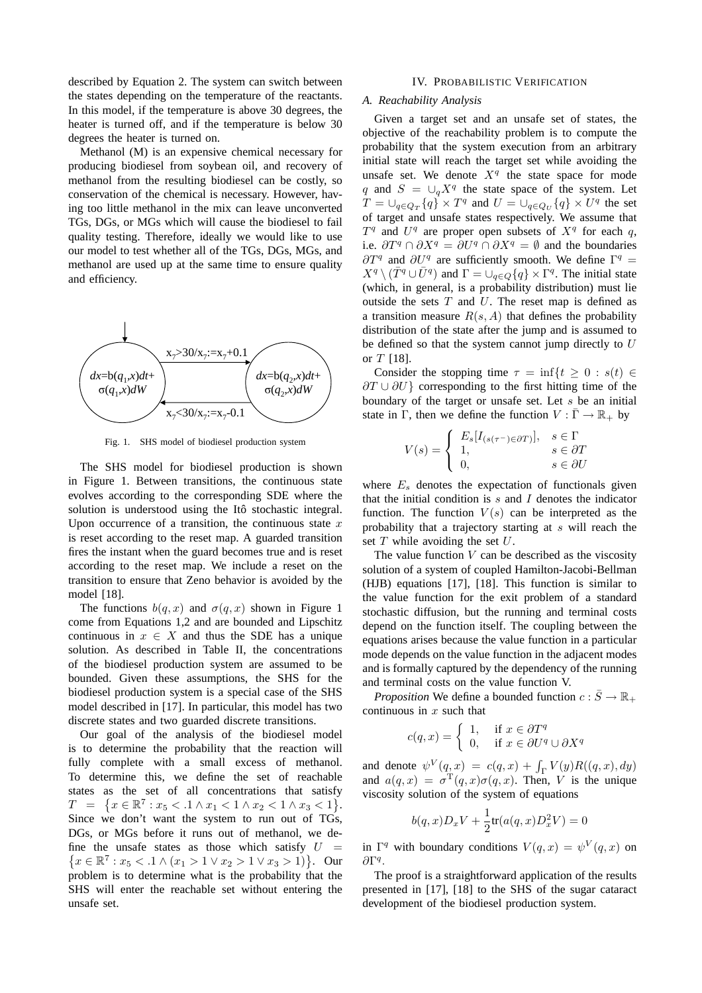described by Equation 2. The system can switch between the states depending on the temperature of the reactants. In this model, if the temperature is above 30 degrees, the heater is turned off, and if the temperature is below 30 degrees the heater is turned on.

Methanol (M) is an expensive chemical necessary for producing biodiesel from soybean oil, and recovery of methanol from the resulting biodiesel can be costly, so conservation of the chemical is necessary. However, having too little methanol in the mix can leave unconverted TGs, DGs, or MGs which will cause the biodiesel to fail quality testing. Therefore, ideally we would like to use our model to test whether all of the TGs, DGs, MGs, and methanol are used up at the same time to ensure quality and efficiency.



Fig. 1. SHS model of biodiesel production system

The SHS model for biodiesel production is shown in Figure 1. Between transitions, the continuous state evolves according to the corresponding SDE where the solution is understood using the Itô stochastic integral. Upon occurrence of a transition, the continuous state  $x$ is reset according to the reset map. A guarded transition fires the instant when the guard becomes true and is reset according to the reset map. We include a reset on the transition to ensure that Zeno behavior is avoided by the model [18].

The functions  $b(q, x)$  and  $\sigma(q, x)$  shown in Figure 1 come from Equations 1,2 and are bounded and Lipschitz continuous in  $x \in X$  and thus the SDE has a unique solution. As described in Table II, the concentrations of the biodiesel production system are assumed to be bounded. Given these assumptions, the SHS for the biodiesel production system is a special case of the SHS model described in [17]. In particular, this model has two discrete states and two guarded discrete transitions.

Our goal of the analysis of the biodiesel model is to determine the probability that the reaction will fully complete with a small excess of methanol. To determine this, we define the set of reachable states as the set of all concentrations that satisfy  $T = \{x \in \mathbb{R}^7 : x_5 < .1 \wedge x_1 < 1 \wedge x_2 < 1 \wedge x_3 < 1\}.$ Since we don't want the system to run out of TGs, DGs, or MGs before it runs out of methanol, we define the unsafe states as those which satisfy  $U =$  $\{x \in \mathbb{R}^7 : x_5 < 0.1 \wedge (x_1 > 1 \vee x_2 > 1 \vee x_3 > 1)\}.$  Our problem is to determine what is the probability that the SHS will enter the reachable set without entering the unsafe set.

## IV. PROBABILISTIC VERIFICATION

### *A. Reachability Analysis*

Given a target set and an unsafe set of states, the objective of the reachability problem is to compute the probability that the system execution from an arbitrary initial state will reach the target set while avoiding the unsafe set. We denote  $X<sup>q</sup>$  the state space for mode q and  $S = \bigcup_q X^q$  the state space of the system. Let  $T = \bigcup_{q \in Q_T} \{q\} \times T^q$  and  $U = \bigcup_{q \in Q_U} \{q\} \times U^q$  the set of target and unsafe states respectively. We assume that  $T<sup>q</sup>$  and  $U<sup>q</sup>$  are proper open subsets of  $X<sup>q</sup>$  for each q, i.e.  $\partial T^q \cap \partial X^q = \partial U^q \cap \partial X^q = \emptyset$  and the boundaries  $\partial T^q$  and  $\partial U^q$  are sufficiently smooth. We define  $\Gamma^q =$  $X^q \setminus (\bar{T}^q \cup \bar{U}^q)$  and  $\Gamma = \bigcup_{q \in Q} \{q\} \times \Gamma^q$ . The initial state (which, in general, is a probability distribution) must lie outside the sets  $T$  and  $U$ . The reset map is defined as a transition measure  $R(s, A)$  that defines the probability distribution of the state after the jump and is assumed to be defined so that the system cannot jump directly to  $U$ or  $T$  [18].

Consider the stopping time  $\tau = \inf\{t \geq 0 : s(t) \in$  $\partial T \cup \partial U$ } corresponding to the first hitting time of the boundary of the target or unsafe set. Let  $s$  be an initial state in Γ, then we define the function  $V : \Gamma \to \mathbb{R}_+$  by

$$
V(s) = \begin{cases} E_s[I_{(s(\tau^-) \in \partial T)}], & s \in \Gamma \\ 1, & s \in \partial T \\ 0, & s \in \partial U \end{cases}
$$

where  $E_s$  denotes the expectation of functionals given that the initial condition is  $s$  and  $I$  denotes the indicator function. The function  $V(s)$  can be interpreted as the probability that a trajectory starting at  $s$  will reach the set  $T$  while avoiding the set  $U$ .

The value function  $V$  can be described as the viscosity solution of a system of coupled Hamilton-Jacobi-Bellman (HJB) equations [17], [18]. This function is similar to the value function for the exit problem of a standard stochastic diffusion, but the running and terminal costs depend on the function itself. The coupling between the equations arises because the value function in a particular mode depends on the value function in the adjacent modes and is formally captured by the dependency of the running and terminal costs on the value function V.

*Proposition* We define a bounded function  $c : \overline{S} \to \mathbb{R}_+$ continuous in  $x$  such that

$$
c(q, x) = \begin{cases} 1, & \text{if } x \in \partial T^q \\ 0, & \text{if } x \in \partial U^q \cup \partial X^q \end{cases}
$$

and denote  $\psi^V(q, x) = c(q, x) + \int_{\Gamma} V(y) R((q, x), dy)$ and  $a(q, x) = \sigma^{T}(q, x)\sigma(q, x)$ . Then, V is the unique viscosity solution of the system of equations

$$
b(q,x)D_xV + \frac{1}{2}\text{tr}(a(q,x)D_x^2V) = 0
$$

in  $\Gamma^q$  with boundary conditions  $V(q, x) = \psi^V(q, x)$  on  $\partial$ Γ<sup>q</sup>.

The proof is a straightforward application of the results presented in [17], [18] to the SHS of the sugar cataract development of the biodiesel production system.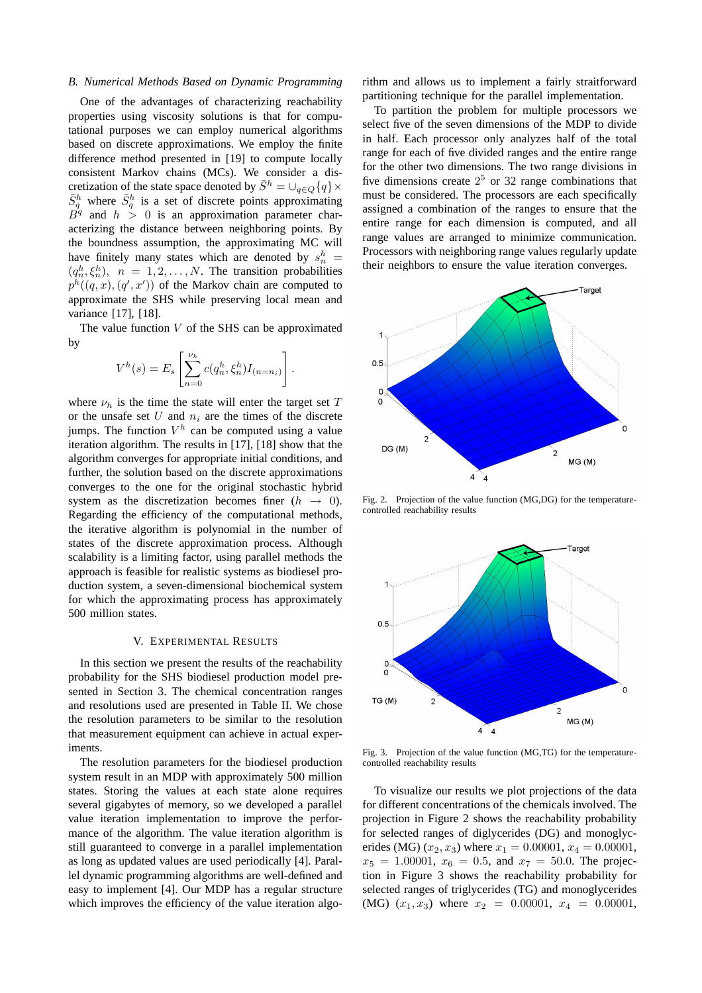### *B. Numerical Methods Based on Dynamic Programming*

One of the advantages of characterizing reachability properties using viscosity solutions is that for computational purposes we can employ numerical algorithms based on discrete approximations. We employ the finite difference method presented in [19] to compute locally consistent Markov chains (MCs). We consider a discretization of the state space denoted by  $\bar{S}^h = \bigcup_{q \in Q} \{q\} \times$  $\bar{S}_q^h$  where  $\bar{S}_q^h$  is a set of discrete points approximating  $B^q$  and  $h > 0$  is an approximation parameter characterizing the distance between neighboring points. By the boundness assumption, the approximating MC will have finitely many states which are denoted by  $s_n^h$  =  $(q_n^h, \xi_n^h)$ ,  $n = 1, 2, ..., N$ . The transition probabilities  $p^h((q, x), (q', x'))$  of the Markov chain are computed to approximate the SHS while preserving local mean and variance [17], [18].

The value function  $V$  of the SHS can be approximated by

$$
V^{h}(s) = E_{s} \left[ \sum_{n=0}^{\nu_{h}} c(q_{n}^{h}, \xi_{n}^{h}) I_{(n=n_{i})} \right].
$$

where  $\nu_h$  is the time the state will enter the target set T or the unsafe set  $U$  and  $n_i$  are the times of the discrete jumps. The function  $V^h$  can be computed using a value iteration algorithm. The results in [17], [18] show that the algorithm converges for appropriate initial conditions, and further, the solution based on the discrete approximations converges to the one for the original stochastic hybrid system as the discretization becomes finer  $(h \rightarrow 0)$ . Regarding the efficiency of the computational methods, the iterative algorithm is polynomial in the number of states of the discrete approximation process. Although scalability is a limiting factor, using parallel methods the approach is feasible for realistic systems as biodiesel production system, a seven-dimensional biochemical system for which the approximating process has approximately 500 million states.

#### V. EXPERIMENTAL RESULTS

In this section we present the results of the reachability probability for the SHS biodiesel production model presented in Section 3. The chemical concentration ranges and resolutions used are presented in Table II. We chose the resolution parameters to be similar to the resolution that measurement equipment can achieve in actual experiments.

The resolution parameters for the biodiesel production system result in an MDP with approximately 500 million states. Storing the values at each state alone requires several gigabytes of memory, so we developed a parallel value iteration implementation to improve the performance of the algorithm. The value iteration algorithm is still guaranteed to converge in a parallel implementation as long as updated values are used periodically [4]. Parallel dynamic programming algorithms are well-defined and easy to implement [4]. Our MDP has a regular structure which improves the efficiency of the value iteration algo-

rithm and allows us to implement a fairly straitforward partitioning technique for the parallel implementation.

To partition the problem for multiple processors we select five of the seven dimensions of the MDP to divide in half. Each processor only analyzes half of the total range for each of five divided ranges and the entire range for the other two dimensions. The two range divisions in five dimensions create  $2^5$  or 32 range combinations that must be considered. The processors are each specifically assigned a combination of the ranges to ensure that the entire range for each dimension is computed, and all range values are arranged to minimize communication. Processors with neighboring range values regularly update their neighbors to ensure the value iteration converges.



Fig. 2. Projection of the value function (MG,DG) for the temperaturecontrolled reachability results



Fig. 3. Projection of the value function (MG,TG) for the temperaturecontrolled reachability results

To visualize our results we plot projections of the data for different concentrations of the chemicals involved. The projection in Figure 2 shows the reachability probability for selected ranges of diglycerides (DG) and monoglycerides (MG)  $(x_2, x_3)$  where  $x_1 = 0.00001$ ,  $x_4 = 0.00001$ ,  $x_5 = 1.00001$ ,  $x_6 = 0.5$ , and  $x_7 = 50.0$ . The projection in Figure 3 shows the reachability probability for selected ranges of triglycerides (TG) and monoglycerides (MG)  $(x_1, x_3)$  where  $x_2 = 0.00001$ ,  $x_4 = 0.00001$ ,